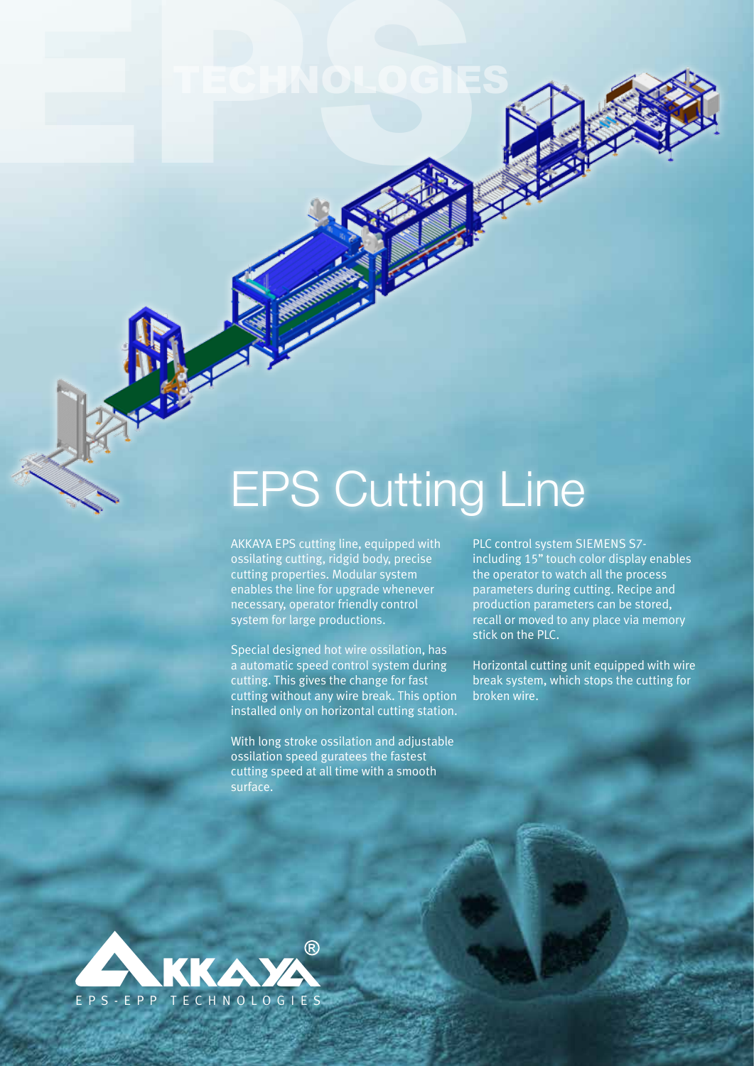## EPS Cutting Line

AKKAYA EPS cutting line, equipped with ossilating cutting, ridgid body, precise cutting properties. Modular system enables the line for upgrade whenever necessary, operator friendly control system for large productions.

EPSTECHNOLOGIES

Special designed hot wire ossilation, has a automatic speed control system during cutting. This gives the change for fast cutting without any wire break. This option installed only on horizontal cutting station.

With long stroke ossilation and adjustable ossilation speed guratees the fastest cutting speed at all time with a smooth surface.

PLC control system SIEMENS S7 including 15'' touch color display enables the operator to watch all the process parameters during cutting. Recipe and production parameters can be stored, recall or moved to any place via memory stick on the PLC.

Horizontal cutting unit equipped with wire break system, which stops the cutting for broken wire.